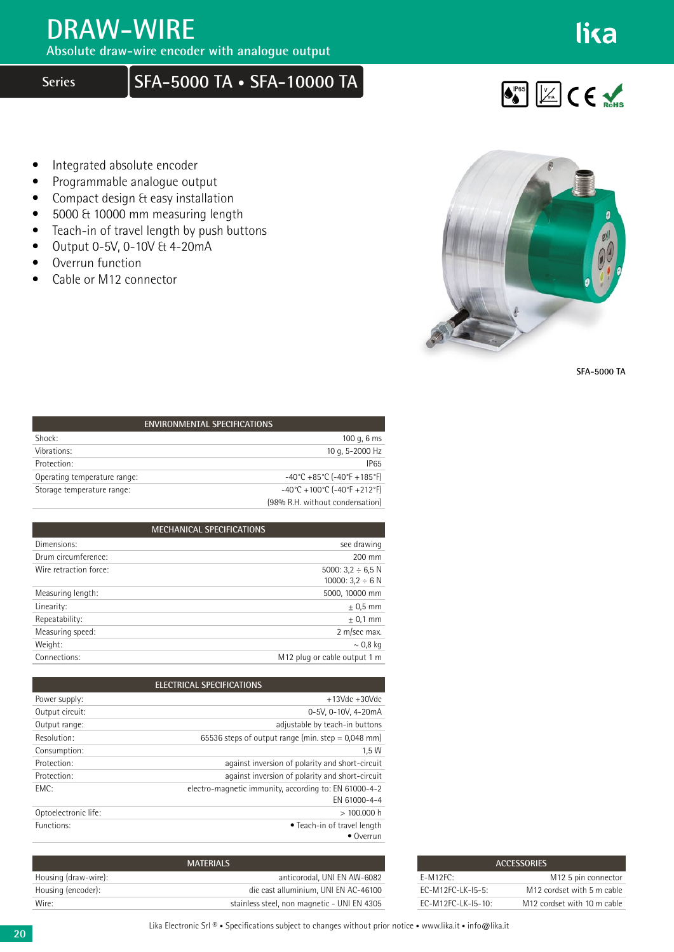## **DRAW-WIRE**

**Absolute draw-wire encoder with analogue output**

## **Series SFA-5000 TA • SFA-10000 TA**

lika



- Integrated absolute encoder
- Programmable analogue output
- Compact design & easy installation
- 5000 & 10000 mm measuring length
- Teach-in of travel length by push buttons
- $\bullet$  Output 0-5V, 0-10V & 4-20mA
- Overrun function
- Cable or M12 connector



**SFA-5000 TA**

| <b>ENVIRONMENTAL SPECIFICATIONS</b> |                                                                          |  |
|-------------------------------------|--------------------------------------------------------------------------|--|
| Shock:                              | 100 g, $6 \text{ ms}$                                                    |  |
| Vibrations:                         | 10 g, 5-2000 Hz                                                          |  |
| Protection:                         | <b>IP65</b>                                                              |  |
| Operating temperature range:        | $-40^{\circ}$ C +85 $^{\circ}$ C (-40 $^{\circ}$ F +185 $^{\circ}$ F)    |  |
| Storage temperature range:          | $-40^{\circ}$ C + 100 $^{\circ}$ C (-40 $^{\circ}$ F + 212 $^{\circ}$ F) |  |
|                                     | (98% R.H. without condensation)                                          |  |

| <b>MECHANICAL SPECIFICATIONS</b> |                                          |
|----------------------------------|------------------------------------------|
| Dimensions:                      | see drawing                              |
| Drum circumference:              | 200 mm                                   |
| Wire retraction force:           | 5000: $3.2 \div 6.5$ N                   |
|                                  | 10000: $3.2 \div 6$ N                    |
| Measuring length:                | 5000, 10000 mm                           |
| Linearity:                       | $\pm$ 0,5 mm                             |
| Repeatability:                   | $± 0.1$ mm                               |
| Measuring speed:                 | 2 m/sec max.                             |
| Weight:                          | $\sim$ 0,8 kg                            |
| Connections:                     | M <sub>12</sub> plug or cable output 1 m |

| <b>ELECTRICAL SPECIFICATIONS</b> |                                                                       |
|----------------------------------|-----------------------------------------------------------------------|
| Power supply:                    | $+13$ Vdc $+30$ Vdc                                                   |
| Output circuit:                  | 0-5V, 0-10V, 4-20mA                                                   |
| Output range:                    | adjustable by teach-in buttons                                        |
| Resolution:                      | 65536 steps of output range (min. step = $0.048$ mm)                  |
| Consumption:                     | 1.5W                                                                  |
| Protection:                      | against inversion of polarity and short-circuit                       |
| Protection:                      | against inversion of polarity and short-circuit                       |
| FMC:                             | electro-magnetic immunity, according to: EN 61000-4-2<br>FN 61000-4-4 |
| Optoelectronic life:             | >100.000h                                                             |
| Functions:                       | • Teach-in of travel length<br>$\bullet$ Overrun                      |

| <b>ACCESSORIES</b>  |                                         |  |
|---------------------|-----------------------------------------|--|
| $F-M12FC:$          | M <sub>12</sub> 5 pin connector         |  |
| $FC-M12FC-1K-15-5$  | M <sub>12</sub> cordset with 5 m cable  |  |
| $FC-M12FC-1K-15-10$ | M <sub>12</sub> cordset with 10 m cable |  |

| <b>MATERIALS</b>     |                                             |
|----------------------|---------------------------------------------|
| Housing (draw-wire): | anticorodal. UNI EN AW-6082                 |
| Housing (encoder):   | die cast alluminium. UNI EN AC-46100        |
| Wire:                | stainless steel, non magnetic - UNI EN 4305 |